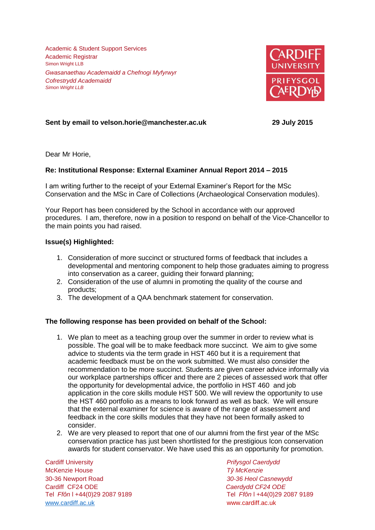Academic & Student Support Services Academic Registrar Simon Wright LLB *Gwasanaethau Academaidd a Chefnogi Myfyrwyr Cofrestrydd Academaidd Simon Wright LLB*



# **Sent by email to velson.horie@manchester.ac.uk 29 July 2015**

Dear Mr Horie,

## **Re: Institutional Response: External Examiner Annual Report 2014 – 2015**

I am writing further to the receipt of your External Examiner's Report for the MSc Conservation and the MSc in Care of Collections (Archaeological Conservation modules).

Your Report has been considered by the School in accordance with our approved procedures. I am, therefore, now in a position to respond on behalf of the Vice-Chancellor to the main points you had raised.

## **Issue(s) Highlighted:**

- 1. Consideration of more succinct or structured forms of feedback that includes a developmental and mentoring component to help those graduates aiming to progress into conservation as a career, guiding their forward planning;
- 2. Consideration of the use of alumni in promoting the quality of the course and products;
- 3. The development of a QAA benchmark statement for conservation.

## **The following response has been provided on behalf of the School:**

- 1. We plan to meet as a teaching group over the summer in order to review what is possible. The goal will be to make feedback more succinct. We aim to give some advice to students via the term grade in HST 460 but it is a requirement that academic feedback must be on the work submitted. We must also consider the recommendation to be more succinct. Students are given career advice informally via our workplace partnerships officer and there are 2 pieces of assessed work that offer the opportunity for developmental advice, the portfolio in HST 460 and job application in the core skills module HST 500. We will review the opportunity to use the HST 460 portfolio as a means to look forward as well as back. We will ensure that the external examiner for science is aware of the range of assessment and feedback in the core skills modules that they have not been formally asked to consider.
- 2. We are very pleased to report that one of our alumni from the first year of the MSc conservation practice has just been shortlisted for the prestigious Icon conservation awards for student conservator. We have used this as an opportunity for promotion.

Cardiff University *Prifysgol Caerdydd* McKenzie House *Tŷ McKenzie* 30-36 Newport Road *30-36 Heol Casnewydd* Tel *Ffôn* l +44(0)29 2087 9189 Tel *Ffôn* l +44(0)29 2087 9189 [www.cardiff.ac.uk](http://www.cardiff.ac.uk/) www.cardiff.ac.uk

Cardiff CF24 ODE *Caerdydd CF24 ODE*